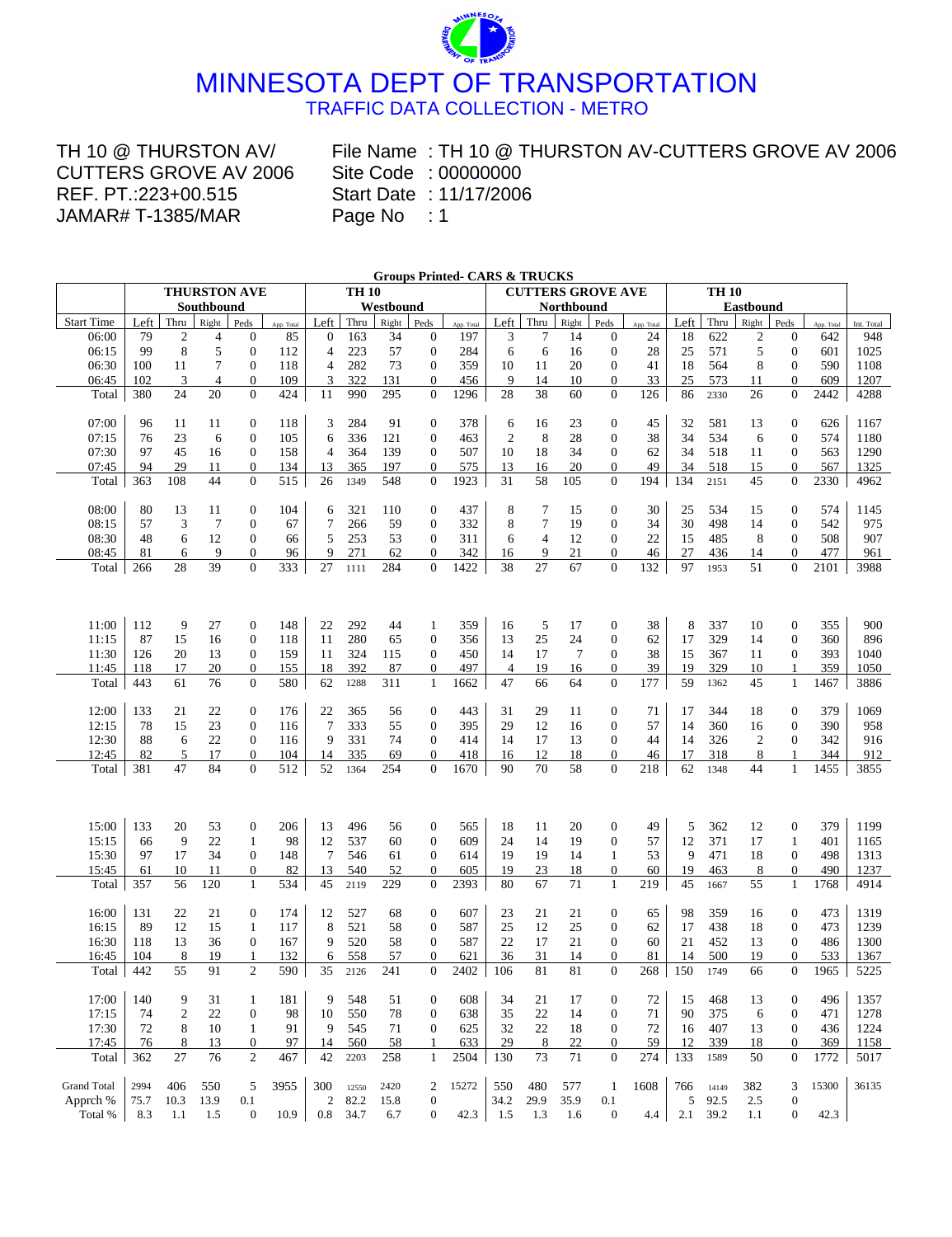

TH 10 @ THURSTON AV/ CUTTERS GROVE AV 2006 REF. PT.:223+00.515 JAMAR# T-1385/MAR

**.** Site Code : 00000000 File Name : TH 10 @ THURSTON AV-CUTTERS GROVE AV 2006 Start Date : 11/17/2006

|                    |      |                |                |                                |            |                 |              |            |                  | <b>Groups Printed- CARS &amp; TRUCKS</b> |                |                |                          |                                    |            |      |              |                  |                  |            |            |
|--------------------|------|----------------|----------------|--------------------------------|------------|-----------------|--------------|------------|------------------|------------------------------------------|----------------|----------------|--------------------------|------------------------------------|------------|------|--------------|------------------|------------------|------------|------------|
|                    |      |                | THURSTON AVE   |                                |            |                 | <b>TH 10</b> |            |                  |                                          |                |                | <b>CUTTERS GROVE AVE</b> |                                    |            |      | <b>TH 10</b> |                  |                  |            |            |
|                    |      |                | Southbound     |                                |            |                 |              | Westbound  |                  |                                          |                |                | Northbound               |                                    |            |      |              | <b>Eastbound</b> |                  |            |            |
| <b>Start Time</b>  | Left | Thru           | Right          | Peds                           | App. Total | Left            | Thru         | Right      | Peds             | App. Total                               | Left           | Thru           | Right                    | Peds                               | App. Total | Left | Thru         | Right            | Peds             | App. Total | Int. Total |
| 06:00              | 79   | 2              | $\overline{4}$ | $\boldsymbol{0}$               | 85         | $\theta$        | 163          | 34         | $\boldsymbol{0}$ | 197                                      | 3              | 7              | 14                       | $\theta$                           | 24         | 18   | 622          | 2                | $\theta$         | 642        | 948        |
| 06:15              | 99   | 8              | 5              | $\boldsymbol{0}$               | 112        | $\overline{4}$  | 223          | 57         | $\boldsymbol{0}$ | 284                                      | 6              | 6              | 16                       | $\boldsymbol{0}$                   | 28         | 25   | 571          | 5                | $\mathbf{0}$     | 601        | 1025       |
| 06:30              | 100  | 11             | 7              | $\mathbf{0}$                   | 118        | $\overline{4}$  | 282          | 73         | $\mathbf{0}$     | 359                                      | 10             | 11             | 20                       | $\mathbf{0}$                       | 41         | 18   | 564          | 8                | $\theta$         | 590        | 1108       |
| 06:45              | 102  | 3<br>24        | 4<br>20        | $\overline{0}$<br>$\mathbf{0}$ | 109<br>424 | 3               | 322          | 131<br>295 | $\overline{0}$   | 456                                      | 9<br>28        | 14<br>38       | 10<br>60                 | $\boldsymbol{0}$<br>$\overline{0}$ | 33         | 25   | 573          | 11               | $\theta$         | 609        | 1207       |
| Total              | 380  |                |                |                                |            | 11              | 990          |            | $\theta$         | 1296                                     |                |                |                          |                                    | 126        | 86   | 2330         | 26               | $\theta$         | 2442       | 4288       |
| 07:00              | 96   | 11             | 11             | $\overline{0}$                 | 118        | 3               | 284          | 91         | $\mathbf{0}$     | 378                                      | 6              | 16             | 23                       | $\boldsymbol{0}$                   | 45         | 32   | 581          | 13               | $\mathbf{0}$     | 626        | 1167       |
| 07:15              | 76   | 23             | 6              | $\theta$                       | 105        | 6               | 336          | 121        | $\boldsymbol{0}$ | 463                                      | 2              | 8              | 28                       | $\mathbf{0}$                       | 38         | 34   | 534          | 6                | $\overline{0}$   | 574        | 1180       |
| 07:30              | 97   | 45             | 16             | $\theta$                       | 158        | $\overline{4}$  | 364          | 139        | $\theta$         | 507                                      | 10             | 18             | 34                       | $\mathbf{0}$                       | 62         | 34   | 518          | 11               | $\theta$         | 563        | 1290       |
| 07:45              | 94   | 29             | 11             | $\boldsymbol{0}$               | 134        | 13              | 365          | 197        | $\boldsymbol{0}$ | 575                                      | 13             | 16             | 20                       | $\boldsymbol{0}$                   | 49         | 34   | 518          | 15               | $\boldsymbol{0}$ | 567        | 1325       |
| Total              | 363  | 108            | 44             | $\overline{0}$                 | 515        | 26              | 1349         | 548        | $\theta$         | 1923                                     | 31             | 58             | 105                      | $\overline{0}$                     | 194        | 134  | 2151         | 45               | $\theta$         | 2330       | 4962       |
|                    |      |                |                |                                |            |                 |              |            |                  |                                          |                |                |                          |                                    |            |      |              |                  |                  |            |            |
| 08:00              | 80   | 13             | 11             | $\boldsymbol{0}$               | 104        | 6               | 321          | 110        | $\boldsymbol{0}$ | 437                                      | 8              | 7              | 15                       | $\boldsymbol{0}$                   | 30         | 25   | 534          | 15               | $\boldsymbol{0}$ | 574        | 1145       |
| 08:15              | 57   | 3              | $\overline{7}$ | $\mathbf{0}$                   | 67         | 7               | 266          | 59         | $\theta$         | 332                                      | 8              | $\tau$         | 19                       | $\mathbf{0}$                       | 34         | 30   | 498          | 14               | $\theta$         | 542        | 975        |
| 08:30              | 48   | 6              | 12             | $\overline{0}$                 | 66         | 5               | 253          | 53         | $\theta$         | 311                                      | 6              | $\overline{4}$ | 12                       | $\overline{0}$                     | 22         | 15   | 485          | 8                | $\overline{0}$   | 508        | 907        |
| 08:45              | 81   | 6              | 9              | $\overline{0}$                 | 96         | 9               | 271          | 62         | $\Omega$         | 342                                      | 16             | 9              | 21                       | $\overline{0}$                     | 46         | 27   | 436          | 14               | $\Omega$         | 477        | 961        |
| Total              | 266  | 28             | 39             | $\Omega$                       | 333        | 27              | 1111         | 284        | $\Omega$         | 1422                                     | 38             | 27             | 67                       | $\Omega$                           | 132        | 97   | 1953         | 51               | $\Omega$         | 2101       | 3988       |
|                    |      |                |                |                                |            |                 |              |            |                  |                                          |                |                |                          |                                    |            |      |              |                  |                  |            |            |
|                    |      |                |                |                                |            |                 |              |            |                  |                                          |                |                |                          |                                    |            |      |              |                  |                  |            |            |
| 11:00              | 112  | 9              | 27             | $\boldsymbol{0}$               | 148        | 22              | 292          | 44         | 1                | 359                                      | 16             | 5              | 17                       | $\boldsymbol{0}$                   | 38         | 8    | 337          | 10               | $\boldsymbol{0}$ | 355        | 900        |
| 11:15              | 87   | 15             | 16             | $\overline{0}$                 | 118        | 11              | 280          | 65         | $\theta$         | 356                                      | 13             | 25             | 24                       | $\boldsymbol{0}$                   | 62         | 17   | 329          | 14               | $\overline{0}$   | 360        | 896        |
| 11:30              | 126  | 20             | 13             | $\boldsymbol{0}$               | 159        | 11              | 324          | 115        | $\theta$         | 450                                      | 14             | 17             | $7\phantom{.0}$          | $\theta$                           | 38         | 15   | 367          | 11               | $\theta$         | 393        | 1040       |
| 11:45              | 118  | 17             | 20             | $\boldsymbol{0}$               | 155        | 18              | 392          | 87         | $\boldsymbol{0}$ | 497                                      | $\overline{4}$ | 19             | 16                       | $\boldsymbol{0}$                   | 39         | 19   | 329          | 10               | 1                | 359        | 1050       |
| Total              | 443  | 61             | 76             | $\theta$                       | 580        | 62              | 1288         | 311        | $\mathbf{1}$     | 1662                                     | 47             | 66             | 64                       | $\mathbf{0}$                       | 177        | 59   | 1362         | 45               | $\mathbf{1}$     | 1467       | 3886       |
| 12:00              | 133  | 21             | 22             | $\boldsymbol{0}$               | 176        | 22              | 365          | 56         | $\boldsymbol{0}$ | 443                                      | 31             | 29             | 11                       | $\boldsymbol{0}$                   | 71         | 17   | 344          | 18               | $\boldsymbol{0}$ | 379        | 1069       |
| 12:15              | 78   | 15             | 23             | $\theta$                       | 116        | $\overline{7}$  | 333          | 55         | $\theta$         | 395                                      | 29             | 12             | 16                       | $\mathbf{0}$                       | 57         | 14   | 360          | 16               | $\overline{0}$   | 390        | 958        |
| 12:30              | 88   | 6              | 22             | $\overline{0}$                 | 116        | 9               | 331          | 74         | $\theta$         | 414                                      | 14             | 17             | 13                       | $\overline{0}$                     | 44         | 14   | 326          | $\overline{c}$   | $\overline{0}$   | 342        | 916        |
| 12:45              | 82   | 5              | 17             | $\overline{0}$                 | 104        | 14              | 335          | 69         | $\overline{0}$   | 418                                      | 16             | 12             | 18                       | $\mathbf{0}$                       | 46         | 17   | 318          | 8                | 1                | 344        | 912        |
| Total              | 381  | 47             | 84             | $\overline{0}$                 | 512        | 52              | 1364         | 254        | $\theta$         | 1670                                     | 90             | 70             | 58                       | $\overline{0}$                     | 218        | 62   | 1348         | 44               | $\mathbf{1}$     | 1455       | 3855       |
|                    |      |                |                |                                |            |                 |              |            |                  |                                          |                |                |                          |                                    |            |      |              |                  |                  |            |            |
|                    |      |                |                |                                |            |                 |              |            |                  |                                          |                |                |                          |                                    |            |      |              |                  |                  |            |            |
| 15:00              | 133  | 20             | 53             | $\boldsymbol{0}$               | 206        | 13              | 496          | 56         | $\boldsymbol{0}$ | 565                                      | 18             | 11             | 20                       | $\boldsymbol{0}$                   | 49         | 5    | 362          | 12               | $\boldsymbol{0}$ | 379        | 1199       |
| 15:15              | 66   | 9              | 22             | $\mathbf{1}$                   | 98         | 12              | 537          | 60         | $\boldsymbol{0}$ | 609                                      | 24             | 14             | 19                       | $\mathbf{0}$                       | 57         | 12   | 371          | 17               | $\mathbf{1}$     | 401        | 1165       |
| 15:30              | 97   | 17             | 34             | $\mathbf{0}$                   | 148        | $7\phantom{.0}$ | 546          | 61         | $\theta$         | 614                                      | 19             | 19             | 14                       | $\mathbf{1}$                       | 53         | 9    | 471          | 18               | $\mathbf{0}$     | 498        | 1313       |
| 15:45              | 61   | 10             | 11<br>120      | $\overline{0}$<br>$\mathbf{1}$ | 82         | 13              | 540          | 52         | $\boldsymbol{0}$ | 605                                      | 19             | 23             | 18<br>71                 | $\boldsymbol{0}$                   | 60         | 19   | 463          | 8                | $\mathbf{0}$     | 490        | 1237       |
| Total              | 357  | 56             |                |                                | 534        | 45              | 2119         | 229        | $\theta$         | 2393                                     | 80             | 67             |                          | $\mathbf{1}$                       | 219        | 45   | 1667         | 55               | 1                | 1768       | 4914       |
| 16:00              | 131  | 22             | 21             | $\boldsymbol{0}$               | 174        | 12              | 527          | 68         | $\boldsymbol{0}$ | 607                                      | 23             | 21             | 21                       | $\mathbf{0}$                       | 65         | 98   | 359          | 16               | $\boldsymbol{0}$ | 473        | 1319       |
| 16:15              | 89   | 12             | 15             | $\mathbf{1}$                   | 117        | 8               | 521          | 58         | $\theta$         | 587                                      | 25             | 12             | 25                       | $\theta$                           | 62         | 17   | 438          | 18               | $\theta$         | 473        | 1239       |
| 16:30              | 118  | 13             | 36             | $\overline{0}$                 | 167        | 9               | 520          | 58         | $\mathbf{0}$     | 587                                      | 22             | 17             | 21                       | $\mathbf{0}$                       | 60         | 21   | 452          | 13               | $\mathbf{0}$     | 486        | 1300       |
| 16:45              | 104  | 8              | 19             | $\mathbf{1}$                   | 132        | 6               | 558          | 57         | $\theta$         | 621                                      | 36             | 31             | 14                       | $\Omega$                           | 81         | 14   | 500          | 19               | $\overline{0}$   | 533        | 1367       |
| Total              | 442  | 55             | 91             | $\overline{c}$                 | 590        | 35              | 2126         | 241        | $\overline{0}$   | 2402                                     | 106            | 81             | $81\,$                   | $\overline{0}$                     | 268        | 150  | 1749         | 66               | $\overline{0}$   | 1965       | 5225       |
| 17:00              | 140  | 9              | 31             | 1                              | 181        | 9               | 548          | 51         | $\mathbf{0}$     | 608                                      | 34             | 21             | 17                       | $\mathbf{0}$                       | 72         | 15   | 468          | 13               | $\theta$         | 496        | 1357       |
| 17:15              | 74   | $\overline{c}$ | 22             | $\boldsymbol{0}$               | 98         | 10              | 550          | 78         | $\mathbf{0}$     | 638                                      | 35             | 22             | 14                       | 0                                  | 71         | 90   | 375          | 6                | $\overline{0}$   | 471        | 1278       |
| 17:30              | 72   | 8              | 10             | 1                              | 91         | 9               | 545          | 71         | $\boldsymbol{0}$ | 625                                      | 32             | 22             | 18                       | $\boldsymbol{0}$                   | 72         | 16   | 407          | 13               | $\boldsymbol{0}$ | 436        | 1224       |
| 17:45              | 76   | 8              | 13             | $\boldsymbol{0}$               | 97         | 14              | 560          | 58         | 1                | 633                                      | 29             | 8              | 22                       | 0                                  | 59         | 12   | 339          | 18               | $\boldsymbol{0}$ | 369        | 1158       |
| Total              | 362  | 27             | 76             | $\overline{c}$                 | 467        | 42              | 2203         | 258        | 1                | 2504                                     | 130            | 73             | 71                       | $\mathbf{0}$                       | 274        | 133  | 1589         | 50               | $\mathbf{0}$     | 1772       | 5017       |
| <b>Grand Total</b> | 2994 | 406            | 550            | 5                              | 3955       | 300             | 12550        | 2420       | 2                | 15272                                    | 550            | 480            | 577                      | 1                                  | 1608       | 766  | 14149        | 382              | 3                | 15300      | 36135      |
| Apprch %           | 75.7 | 10.3           | 13.9           | 0.1                            |            | $\overline{c}$  | 82.2         | 15.8       | $\boldsymbol{0}$ |                                          | 34.2           | 29.9           | 35.9                     | 0.1                                |            | 5    | 92.5         | 2.5              | $\bf{0}$         |            |            |
| Total %            | 8.3  | 1.1            | 1.5            | $\mathbf{0}$                   | 10.9       | $0.8\,$         | 34.7         | 6.7        | $\mathbf{0}$     | 42.3                                     | 1.5            | 1.3            | 1.6                      | $\boldsymbol{0}$                   | 4.4        | 2.1  | 39.2         | 1.1              | $\boldsymbol{0}$ | 42.3       |            |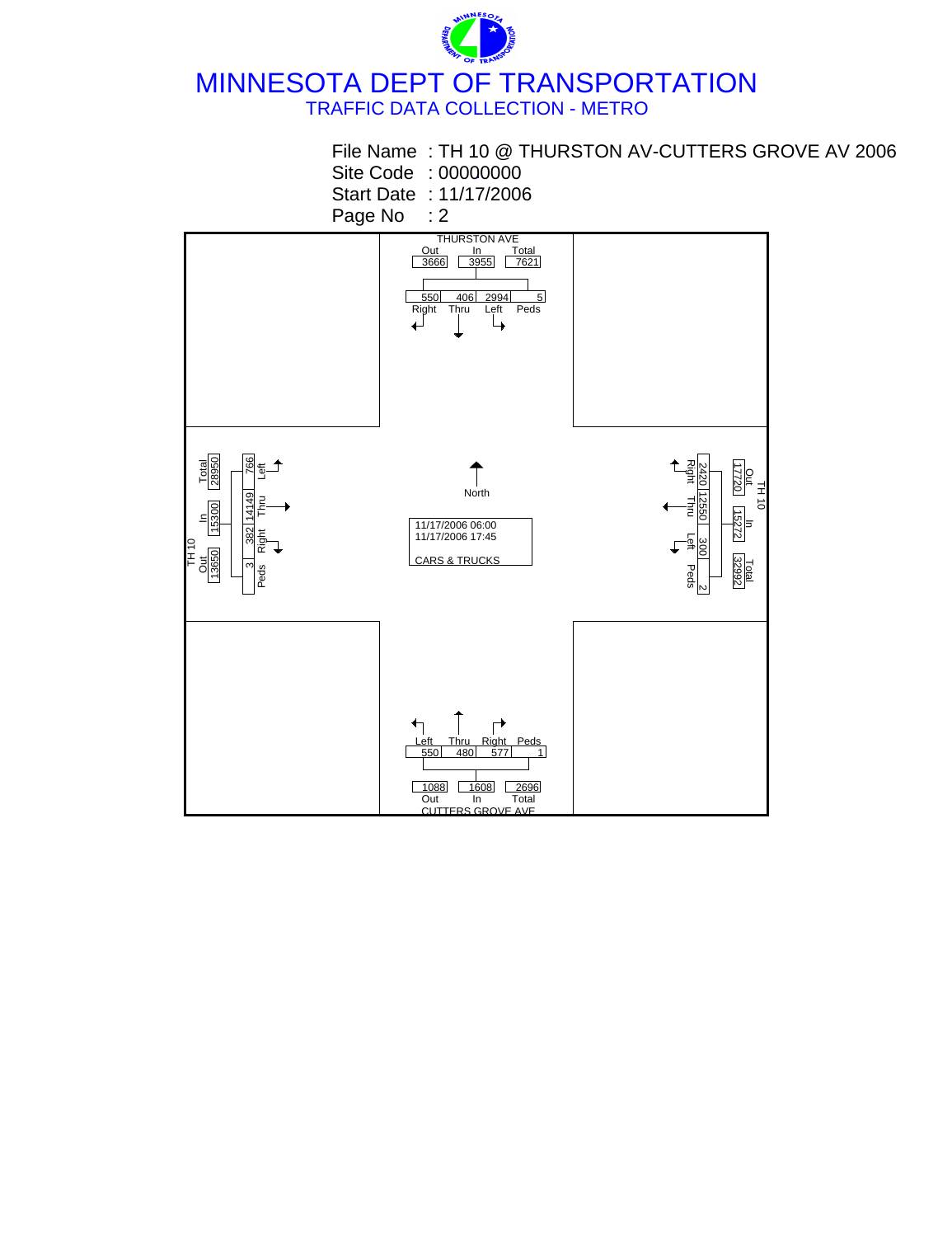

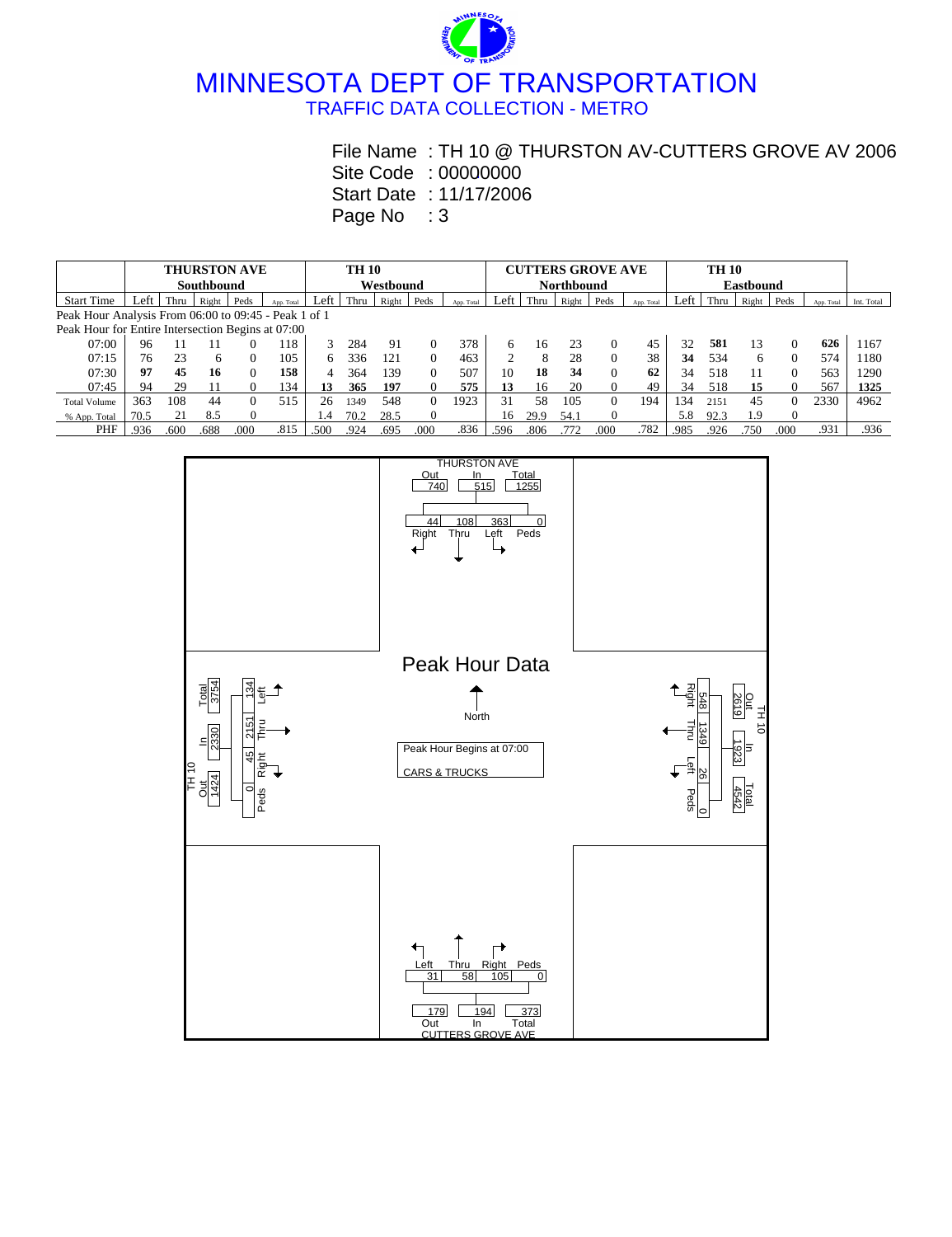

## **.** Site Code : 00000000 File Name : TH 10 @ THURSTON AV-CUTTERS GROVE AV 2006

Start Date : 11/17/2006

|                                                      |            | <b>THURSTON AVE</b> |       | <b>TH 10</b> |            |               |           |       |          |            |      | <b>CUTTERS GROVE AVE</b> |       |      |            |      |      |                  |          |            |            |  |  |
|------------------------------------------------------|------------|---------------------|-------|--------------|------------|---------------|-----------|-------|----------|------------|------|--------------------------|-------|------|------------|------|------|------------------|----------|------------|------------|--|--|
|                                                      | Southbound |                     |       |              |            |               | Westbound |       |          |            |      | <b>Northbound</b>        |       |      |            |      |      | <b>Eastbound</b> |          |            |            |  |  |
| <b>Start Time</b>                                    | eft        | Thru                | Right | Peds         | App. Total | Left          | Thru      | Right | Peds     | App. Total | Left | Thru                     | Right | Peds | App. Total | Left | Thru | Right            | Peds     | App. Total | Int. Total |  |  |
| Peak Hour Analysis From 06:00 to 09:45 - Peak 1 of 1 |            |                     |       |              |            |               |           |       |          |            |      |                          |       |      |            |      |      |                  |          |            |            |  |  |
| Peak Hour for Entire Intersection Begins at 07:00    |            |                     |       |              |            |               |           |       |          |            |      |                          |       |      |            |      |      |                  |          |            |            |  |  |
| 07:00                                                | 96         |                     |       |              | 118        |               | 284       | 91    |          | 378        | 6    | 16                       | 23    |      | 45         | 32   | 581  | 13               | $\Omega$ | 626        | 1167       |  |  |
| 07:15                                                | 76         | 23                  | 6     | 0            | 105        | h             | 336       | 121   | $\Omega$ | 463        |      | 8                        | 28    |      | 38         | 34   | 534  | 6                | 0        | 574        | 1180       |  |  |
| 07:30                                                | 97         | 45                  | 16    | 0            | 158        | 4             | 364       | 139   | $\Omega$ | 507        | 10   | 18                       | 34    |      | 62         | 34   | 518  | 11               | $\Omega$ | 563        | 1290       |  |  |
| 07:45                                                | 94         | 29                  |       |              | 134        | 13            | 365       | 197   |          | 575        | 13   | 16                       | 20    |      | 49         | 34   | 518  | 15               |          | 567        | 1325       |  |  |
| <b>Total Volume</b>                                  | 363        | 108                 | 44    |              | 515        | 26            | 1349      | 548   | $\Omega$ | 1923       | 31   | 58                       | 105   | 0    | 194        | 34   | 2151 | 45               |          | 2330       | 4962       |  |  |
| % App. Total                                         | 70.5       |                     | 8.5   |              |            | $\mathcal{A}$ | 70.2      | 28.5  |          |            | 16   | 29.9                     | 54.   |      |            | 5.8  | 92.3 | 1.9              |          |            |            |  |  |
| PHF                                                  | .936       | .600                | .688  | .000         | .815       | .500          | .924      | .695  | 000      | .836       | .596 | .806                     | 772   | 000  | .782       | .985 | .926 | 750              | 000      | .931       | .936       |  |  |

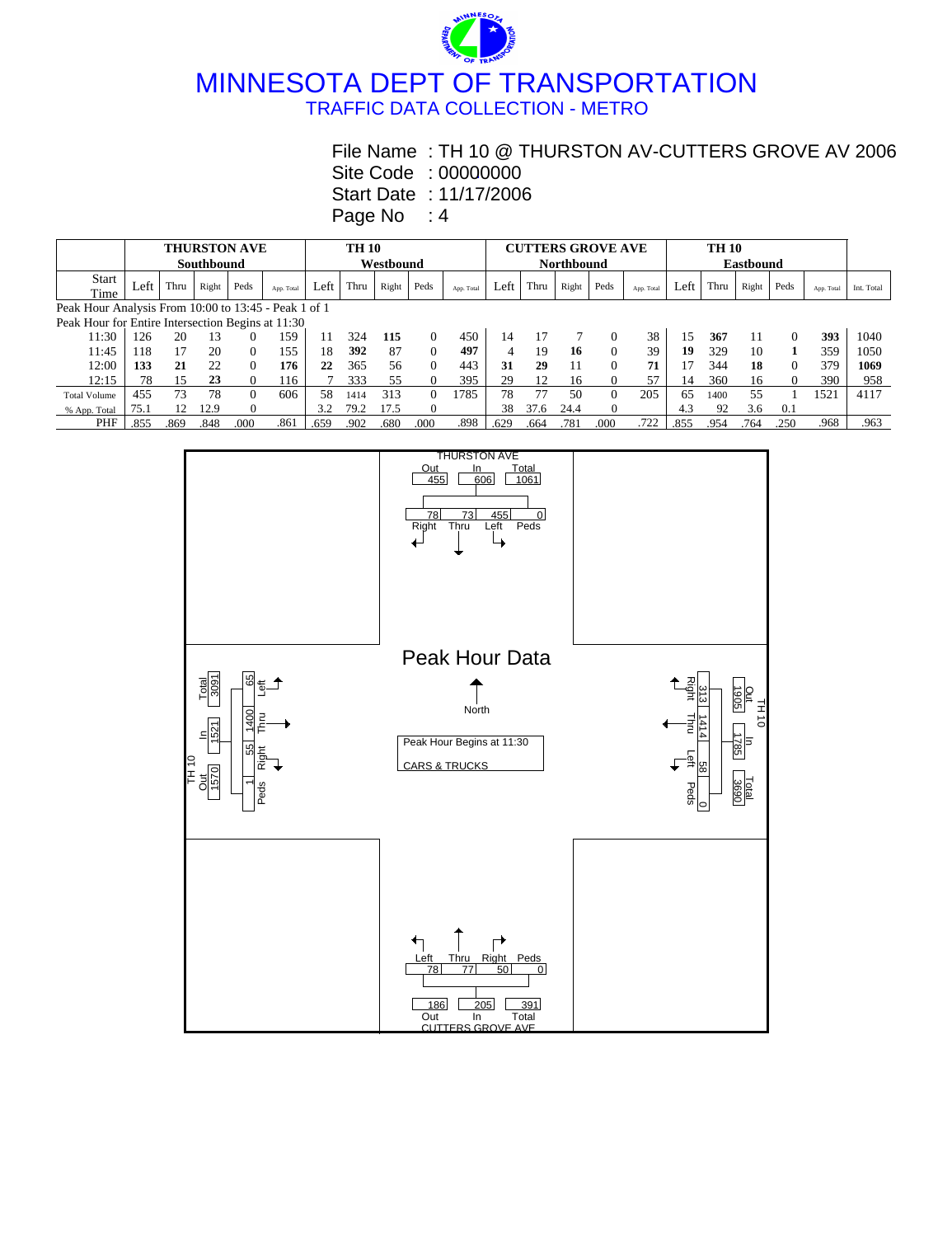MINNESOTA DEPT OF TRANSPORTATION TRAFFIC DATA COLLECTION - METRO

## File Name : TH 10 @ THURSTON AV-CUTTERS GROVE AV 2006

**.** Site Code : 00000000

Start Date : 11/17/2006

|                                                      |            |      |       | <b>THURSTON AVE</b> |            | <b>TH 10</b> |           |       |          |            |      |      |                   | <b>CUTTERS GROVE AVE</b> |            |      |      |       |          |            |            |
|------------------------------------------------------|------------|------|-------|---------------------|------------|--------------|-----------|-------|----------|------------|------|------|-------------------|--------------------------|------------|------|------|-------|----------|------------|------------|
|                                                      | Southbound |      |       |                     |            |              | Westbound |       |          |            |      |      | <b>Northbound</b> |                          |            |      |      |       |          |            |            |
| Start                                                | Left       | Thru |       | Peds                |            | Left         | Thru      |       | Peds     |            | Left | Thru |                   | Peds                     |            | Left | Thru |       | Peds     |            |            |
| Time                                                 |            |      | Right |                     | App. Total |              |           | Right |          | App. Total |      |      | Right             |                          | App. Total |      |      | Right |          | App. Total | Int. Total |
| Peak Hour Analysis From 10:00 to 13:45 - Peak 1 of 1 |            |      |       |                     |            |              |           |       |          |            |      |      |                   |                          |            |      |      |       |          |            |            |
| Peak Hour for Entire Intersection Begins at 11:30    |            |      |       |                     |            |              |           |       |          |            |      |      |                   |                          |            |      |      |       |          |            |            |
| 11:30                                                | 26         | 20   | 13    |                     | 159        | 11           | 324       | 115   | 0        | 450        | 14   |      |                   | $\Omega$                 | 38         | 15   | 367  | 11    | $\Omega$ | 393        | 1040       |
| 11:45                                                | 18         | 17   | 20    |                     | 155        | 18           | 392       | 87    | $\Omega$ | 497        | 4    | 19   | 16                | 0                        | 39         | 19   | 329  | 10    |          | 359        | 1050       |
| 12:00                                                | 133        | 21   | 22    |                     | 176        | 22           | 365       | 56    | 0        | 443        | 31   | 29   | 11                | $\Omega$                 | 71         |      | 344  | 18    | $\Omega$ | 379        | 1069       |
| 12:15                                                | 78         | 15   | 23    |                     | 116        |              | 333       | 55    |          | 395        | 29   | 12   | 16                |                          | 57         | 14   | 360  | 16    | $\Omega$ | 390        | 958        |
| <b>Total Volume</b>                                  | 455        | 73   | 78    |                     | 606        | 58           | 1414      | 313   |          | 1785       | 78   | 77   | 50                | $\Omega$                 | 205        | 65   | 1400 | 55    |          | 1521       | 4117       |
| % App. Total                                         | 75.        |      | 12.9  |                     |            | 3.2          | 79.2      | 17.5  |          |            | 38   | 37.6 | 24.4              |                          |            | 4.3  | 92   | 3.6   | 0.1      |            |            |
| PHF                                                  | .855       | .869 | .848  | .000                | .861       | .659         | .902      | .680  | .000     | .898       | .629 | .664 | .781              | .000                     | .722       | .855 | .954 | .764  | .250     | .968       | .963       |